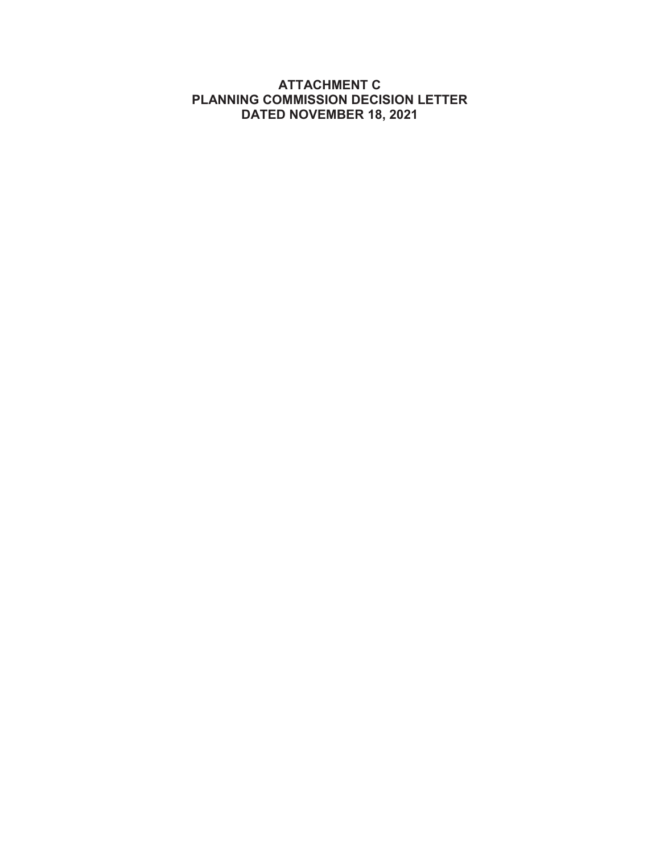# **ATTACHMENT C PLANNING COMMISSION DECISION LETTER DATED NOVEMBER 18, 2021**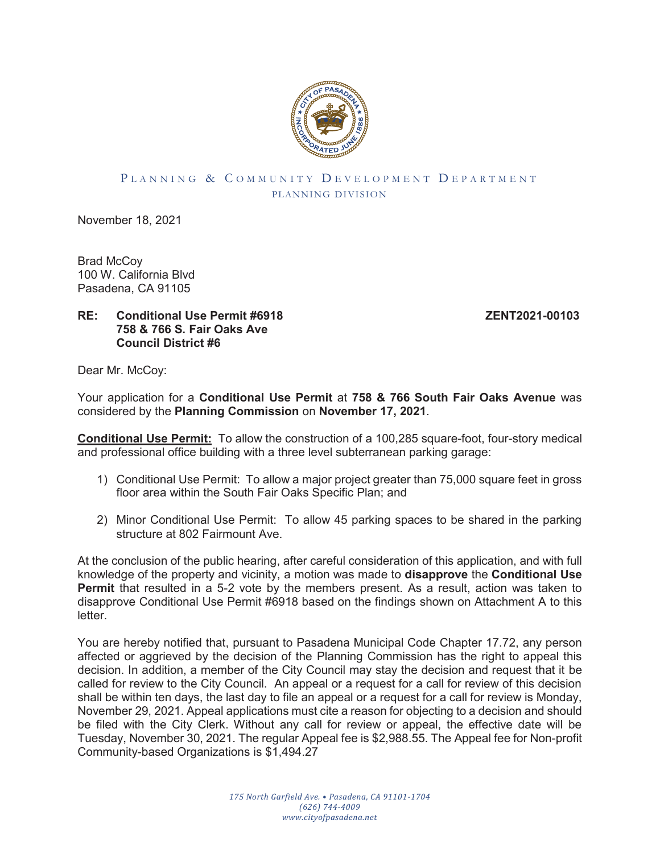

#### PLANNING & COMMUNITY DEVELOPMENT DEPARTMENT PLANNING DIVISION

November 18, 2021

Brad McCoy 100 W. California Blvd Pasadena, CA 91105

## **RE: Conditional Use Permit #6918 ZENT2021-00103 758 & 766 S. Fair Oaks Ave Council District #6**

Dear Mr. McCoy:

Your application for a **Conditional Use Permit** at **758 & 766 South Fair Oaks Avenue** was considered by the **Planning Commission** on **November 17, 2021**.

**Conditional Use Permit:** To allow the construction of a 100,285 square-foot, four-story medical and professional office building with a three level subterranean parking garage:

- 1) Conditional Use Permit: To allow a major project greater than 75,000 square feet in gross floor area within the South Fair Oaks Specific Plan; and
- 2) Minor Conditional Use Permit: To allow 45 parking spaces to be shared in the parking structure at 802 Fairmount Ave.

At the conclusion of the public hearing, after careful consideration of this application, and with full knowledge of the property and vicinity, a motion was made to **disapprove** the **Conditional Use Permit** that resulted in a 5-2 vote by the members present. As a result, action was taken to disapprove Conditional Use Permit #6918 based on the findings shown on Attachment A to this letter.

You are hereby notified that, pursuant to Pasadena Municipal Code Chapter 17.72, any person affected or aggrieved by the decision of the Planning Commission has the right to appeal this decision. In addition, a member of the City Council may stay the decision and request that it be called for review to the City Council. An appeal or a request for a call for review of this decision shall be within ten days, the last day to file an appeal or a request for a call for review is Monday, November 29, 2021. Appeal applications must cite a reason for objecting to a decision and should be filed with the City Clerk. Without any call for review or appeal, the effective date will be Tuesday, November 30, 2021. The regular Appeal fee is \$2,988.55. The Appeal fee for Non-profit Community-based Organizations is \$1,494.27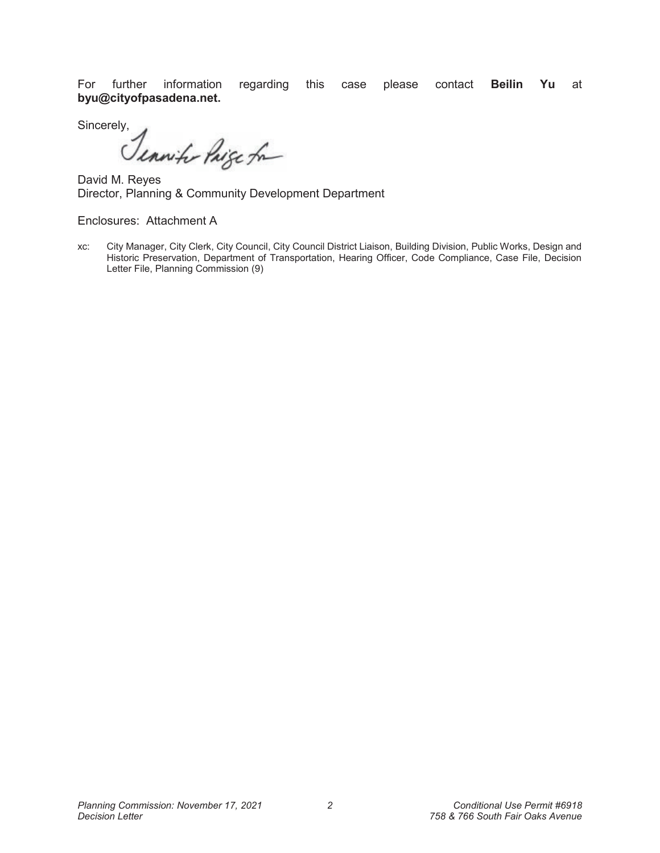For further information regarding this case please contact **Beilin Yu** at **byu@cityofpasadena.net.**

Sincerely,<br>Senwith Paige for

David M. Reyes Director, Planning & Community Development Department

Enclosures: Attachment A

xc: City Manager, City Clerk, City Council, City Council District Liaison, Building Division, Public Works, Design and Historic Preservation, Department of Transportation, Hearing Officer, Code Compliance, Case File, Decision Letter File, Planning Commission (9)